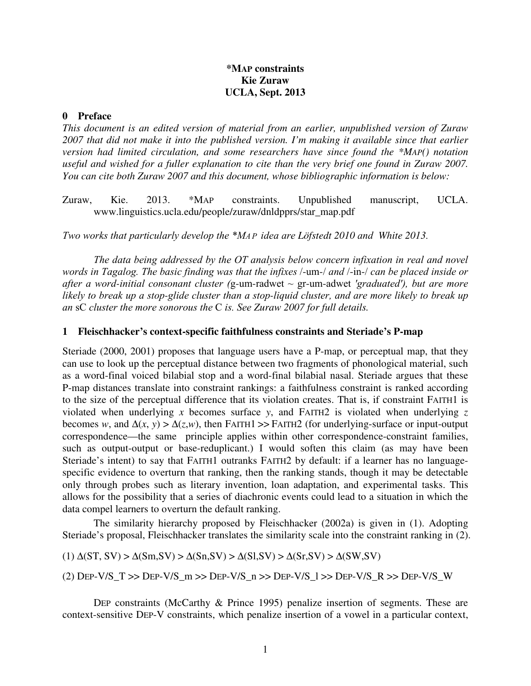# **\*MAP constraints Kie Zuraw UCLA, Sept. 2013**

## **0 Preface**

*This document is an edited version of material from an earlier, unpublished version of Zuraw 2007 that did not make it into the published version. I'm making it available since that earlier version had limited circulation, and some researchers have since found the \*MAP() notation useful and wished for a fuller explanation to cite than the very brief one found in Zuraw 2007. You can cite both Zuraw 2007 and this document, whose bibliographic information is below:* 

Zuraw, Kie. 2013. \*MAP constraints. Unpublished manuscript, UCLA. www.linguistics.ucla.edu/people/zuraw/dnldpprs/star\_map.pdf

Two works that particularly develop the \*MA P idea are *Löfstedt 2010* and *White 2013*.

The data being addressed by the OT analysis below concern infixation in real and novel words in Tagalog. The basic finding was that the infixes /-um-/ and /-in-/ can be placed inside or after a word-initial consonant cluster (g-um-radwet  $\sim$  gr-um-adwet 'graduated'), but are more likely to break up a stop*-*glide cluster than a stop*-*liquid cluster, and are more likely to break up an sC cluster the more sonorous the C is. See *Zuraw 2007 for full details.* 

## **1 Fleischhacker's context-specific faithfulness constraints and Steriade's P-map**

Steriade (2000, 2001) proposes that language users have a P-map, or perceptual map, that they can use to look up the perceptual distance between two fragments of phonological material, such as a word-final voiced bilabial stop and a word-final bilabial nasal. Steriade argues that these P-map distances translate into constraint rankings: a faithfulness constraint is ranked according to the size of the perceptual difference that its violation creates. That is, if constraint FAITH1 is violated when underlying *x* becomes surface *y*, and FAITH2 is violated when underlying *z* becomes *w*, and  $\Delta(x, y) > \Delta(z, w)$ , then FAITH1 >> FAITH2 (for underlying-surface or input-output correspondence—the same principle applies within other correspondence-constraint families, such as output-output or base-reduplicant.) I would soften this claim (as may have been Steriade's intent) to say that FAITH1 outranks FAITH2 by default: if a learner has no languagespecific evidence to overturn that ranking, then the ranking stands, though it may be detectable only through probes such as literary invention, loan adaptation, and experimental tasks. This allows for the possibility that a series of diachronic events could lead to a situation in which the data compel learners to overturn the default ranking.

 The similarity hierarchy proposed by Fleischhacker (2002a) is given in (1). Adopting Steriade's proposal, Fleischhacker translates the similarity scale into the constraint ranking in (2).

(1)  $\Delta(ST, SV) > \Delta(Sm, SV) > \Delta(Sn, SV) > \Delta(Sl, SV) > \Delta(Sr, SV) > \Delta(SW, SV)$ 

(2)  $\text{Dep-V/S\_T} >> \text{Dep-V/S\_m} >> \text{Dep-V/S\_n} >> \text{Dep-V/S\_l} >> \text{Dep-V/S\_R} >> \text{Dep-V/S\_W}$ 

 DEP constraints (McCarthy & Prince 1995) penalize insertion of segments. These are context-sensitive DEP-V constraints, which penalize insertion of a vowel in a particular context,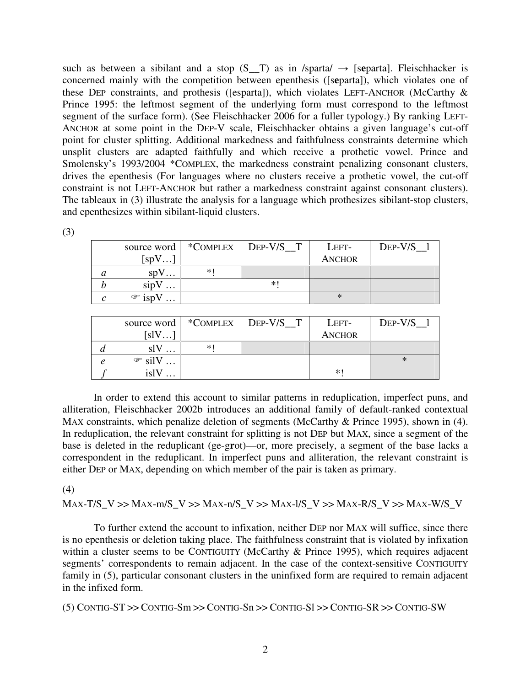such as between a sibilant and a stop  $(S_T)$  as in /sparta/  $\rightarrow$  [separta]. Fleischhacker is concerned mainly with the competition between epenthesis ([s**e**parta]), which violates one of these DEP constraints, and prothesis ([esparta]), which violates LEFT-ANCHOR (McCarthy  $\&$ Prince 1995: the leftmost segment of the underlying form must correspond to the leftmost segment of the surface form). (See Fleischhacker 2006 for a fuller typology.) By ranking LEFT-ANCHOR at some point in the DEP-V scale, Fleischhacker obtains a given language's cut-off point for cluster splitting. Additional markedness and faithfulness constraints determine which unsplit clusters are adapted faithfully and which receive a prothetic vowel. Prince and Smolensky's 1993/2004 \*COMPLEX, the markedness constraint penalizing consonant clusters, drives the epenthesis (For languages where no clusters receive a prothetic vowel, the cut-off constraint is not LEFT-ANCHOR but rather a markedness constraint against consonant clusters). The tableaux in (3) illustrate the analysis for a language which prothesizes sibilant-stop clusters, and epenthesizes within sibilant-liquid clusters.

(3)

|   |                                         |     | source word   *COMPLEX   DEP-V/S T | LEFT-         | DEP- $V/S$ 1 |
|---|-----------------------------------------|-----|------------------------------------|---------------|--------------|
|   | $\sup V$<br>$\cdots$                    |     |                                    | <b>ANCHOR</b> |              |
| a | SD<br>.                                 | $*$ |                                    |               |              |
|   | sipV<br>$\cdots$                        |     | *                                  |               |              |
|   | $\mathcal{F}$ isp'<br>$\cdot\cdot\cdot$ |     |                                    | ∗             |              |

| source word        | *COMPLEX | $\vert$ DEP-V/S T | LEFT-         | $DEF-V/S$ 1 |
|--------------------|----------|-------------------|---------------|-------------|
| [s]V               |          |                   | <b>ANCHOR</b> |             |
| $\cdots$           | *1       |                   |               |             |
| $\mathcal{F}$ silV |          |                   |               | ∗           |
| 1Sl<br>.           |          |                   | ∗             |             |

 In order to extend this account to similar patterns in reduplication, imperfect puns, and alliteration, Fleischhacker 2002b introduces an additional family of default-ranked contextual MAX constraints, which penalize deletion of segments (McCarthy & Prince 1995), shown in (4). In reduplication, the relevant constraint for splitting is not DEP but MAX, since a segment of the base is deleted in the reduplicant (ge-g**r**ot)—or, more precisely, a segment of the base lacks a correspondent in the reduplicant. In imperfect puns and alliteration, the relevant constraint is either DEP or MAX, depending on which member of the pair is taken as primary.

(4)

MAX-T/S\_V >> MAX-m/S\_V >> MAX-n/S\_V >> MAX-l/S\_V >> MAX-R/S\_V >> MAX-W/S\_V

 To further extend the account to infixation, neither DEP nor MAX will suffice, since there is no epenthesis or deletion taking place. The faithfulness constraint that is violated by infixation within a cluster seems to be CONTIGUITY (McCarthy & Prince 1995), which requires adjacent segments' correspondents to remain adjacent. In the case of the context-sensitive CONTIGUITY family in (5), particular consonant clusters in the uninfixed form are required to remain adjacent in the infixed form.

(5) CONTIG-ST >> CONTIG-Sm >> CONTIG-Sn >> CONTIG-Sl >> CONTIG-SR >> CONTIG-SW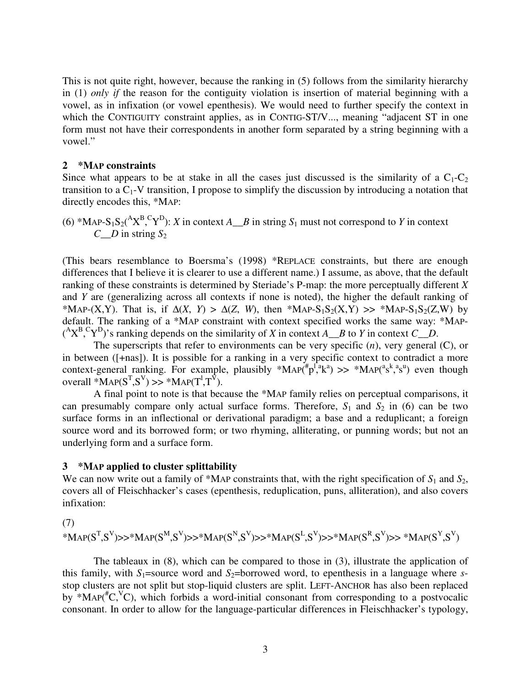This is not quite right, however, because the ranking in (5) follows from the similarity hierarchy in (1) *only if* the reason for the contiguity violation is insertion of material beginning with a vowel, as in infixation (or vowel epenthesis). We would need to further specify the context in which the CONTIGUITY constraint applies, as in CONTIG-ST/V..., meaning "adjacent ST in one form must not have their correspondents in another form separated by a string beginning with a vowel."

### **2 \*MAP constraints**

Since what appears to be at stake in all the cases just discussed is the similarity of a  $C_1-C_2$ transition to a  $C_1$ -V transition, I propose to simplify the discussion by introducing a notation that directly encodes this, \*MAP:

(6) \*MAP-S<sub>1</sub>S<sub>2</sub>(<sup>A</sup>X<sup>B</sup>,<sup>C</sup>Y<sup>D</sup>): X in context 
$$
A \_ B
$$
 in string  $S_1$  must not correspond to Y in context  $C \_ D$  in string  $S_2$ 

(This bears resemblance to Boersma's (1998) \*REPLACE constraints, but there are enough differences that I believe it is clearer to use a different name.) I assume, as above, that the default ranking of these constraints is determined by Steriade's P-map: the more perceptually different *X* and *Y* are (generalizing across all contexts if none is noted), the higher the default ranking of \*MAP-(X,Y). That is, if  $\Delta(X, Y) > \Delta(Z, W)$ , then \*MAP-S<sub>1</sub>S<sub>2</sub>(X,Y) >> \*MAP-S<sub>1</sub>S<sub>2</sub>(Z,W) by default. The ranking of a \*MAP constraint with context specified works the same way: \*MAP-  $({}^{A}X^{B}, {}^{C}Y^{D})$ 's ranking depends on the similarity of *X* in context *A*\_*B* to *Y* in context *C*\_*D*.

 The superscripts that refer to environments can be very specific (*n*), very general (C), or in between ([+nas]). It is possible for a ranking in a very specific context to contradict a more context-general ranking. For example, plausibly  $*MAP(^{\#}p^T, k^a) >> *MAP(^{a}s^k, s^a)$  even though overall  $^*MAP(S^T, S^V) \gg^*MAP(T^1, T^V)$ .

 A final point to note is that because the \*MAP family relies on perceptual comparisons, it can presumably compare only actual surface forms. Therefore,  $S_1$  and  $S_2$  in (6) can be two surface forms in an inflectional or derivational paradigm; a base and a reduplicant; a foreign source word and its borrowed form; or two rhyming, alliterating, or punning words; but not an underlying form and a surface form.

# **3 \*MAP applied to cluster splittability**

We can now write out a family of \*MAP constraints that, with the right specification of  $S_1$  and  $S_2$ , covers all of Fleischhacker's cases (epenthesis, reduplication, puns, alliteration), and also covers infixation:

(7)

$$
^*\mathrm{MAP}(S^T,S^V)\!\!>>^*\!\!\mathrm{MAP}(S^M,S^V)\!\!>>^*\!\!\mathrm{MAP}(S^N,S^V)\!\!>>^*\!\!\mathrm{MAP}(S^L,S^V)\!\!>>^*\!\!\mathrm{MAP}(S^R,S^V)\!\!>>^*\!\!\mathrm{MAP}(S^T,S^V)\!\!>
$$

 The tableaux in (8), which can be compared to those in (3), illustrate the application of this family, with  $S_1$ =source word and  $S_2$ =borrowed word, to epenthesis in a language where *s*stop clusters are not split but stop-liquid clusters are split. LEFT-ANCHOR has also been replaced by \*MAP( ${}^{\#}C$ ,  ${}^{\vee}C$ ), which forbids a word-initial consonant from corresponding to a postvocalic consonant. In order to allow for the language-particular differences in Fleischhacker's typology,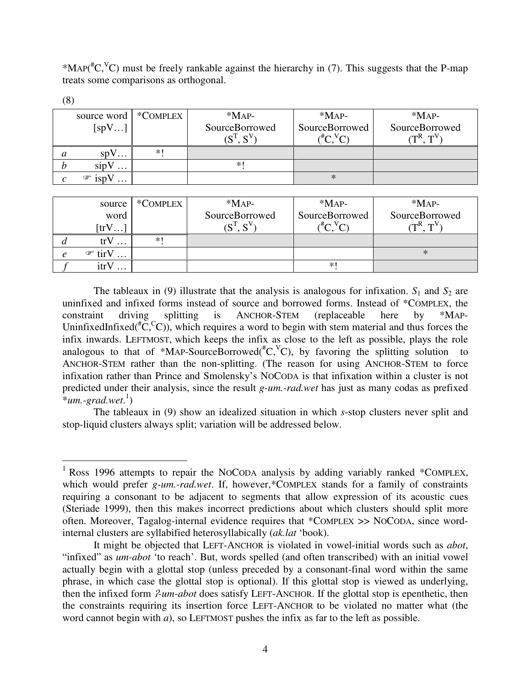\*MAP( ${}^{\#}C$ ,  ${}^{\vee}C$ ) must be freely rankable against the hierarchy in (7). This suggests that the P-map treats some comparisons as orthogonal.

| <b>ι</b> σ |                                     |      |                |                |                    |
|------------|-------------------------------------|------|----------------|----------------|--------------------|
|            | source word   *COMPLEX              |      | $*MAP-$        | $*MAP-$        | $*$ MAP-           |
| [spV]      |                                     |      | SourceBorrowed | SourceBorrowed | SourceBorrowed     |
|            |                                     |      | $(S^T, S^V)$   | $\sim$ $\sim$  | $\sqrt{mR}$ $mV_2$ |
|            | spV                                 | $*1$ |                |                |                    |
|            | sipV<br>$\cdots$                    |      | $*1$           |                |                    |
| C          | $\mathscr{F}$ isp <sup>V</sup><br>. |      |                | ∗              |                    |
|            |                                     |      |                |                |                    |

 $\overline{a}$ 

| source               | *COMPLEX | $*MAP-$                        | $*MAP-$                         | $*MAP-$                                                                             |
|----------------------|----------|--------------------------------|---------------------------------|-------------------------------------------------------------------------------------|
| word                 |          | SourceBorrowed<br>$(S^T, S^V)$ | SourceBorrowed<br>$\sim$ $\sim$ | SourceBorrowed<br>$\Gamma$ <sub>C</sub> $\Gamma$ <sub>N</sub> $\Gamma$ <sub>N</sub> |
| $[\text{trV} \dots]$ |          |                                |                                 |                                                                                     |
| trV                  | *∣       |                                |                                 |                                                                                     |
| $\mathcal{F}$ tirV   |          |                                |                                 | $\ast$                                                                              |
| itrV<br>$\cdots$     |          |                                | *                               |                                                                                     |

The tableaux in (9) illustrate that the analysis is analogous for infixation.  $S_1$  and  $S_2$  are uninfixed and infixed forms instead of source and borrowed forms. Instead of \*COMPLEX, the constraint driving splitting is ANCHOR-STEM (replaceable here by \*MAP-UninfixedInfixed<sup>#</sup> $\tilde{C}$ ,<sup>c</sup>C)), which requires a word to begin with stem material and thus forces the infix inwards. LEFTMOST, which keeps the infix as close to the left as possible, plays the role analogous to that of \*MAP-SourceBorrowed( ${}^{\#}C$ , ${}^{\vee}C$ ), by favoring the splitting solution to ANCHOR-STEM rather than the non-splitting. (The reason for using ANCHOR-STEM to force infixation rather than Prince and Smolensky's NOCODA is that infixation within a cluster is not predicted under their analysis, since the result *g-um.-rad.wet* has just as many codas as prefixed \**um.-grad.wet*. 1 )

 The tableaux in (9) show an idealized situation in which *s*-stop clusters never split and stop-liquid clusters always split; variation will be addressed below.

<sup>&</sup>lt;sup>1</sup> Ross 1996 attempts to repair the NOCODA analysis by adding variably ranked \*COMPLEX, which would prefer *g-um.-rad.wet*. If, however,\*COMPLEX stands for a family of constraints requiring a consonant to be adjacent to segments that allow expression of its acoustic cues (Steriade 1999), then this makes incorrect predictions about which clusters should split more often. Moreover, Tagalog-internal evidence requires that \*COMPLEX >> NOCODA, since wordinternal clusters are syllabified heterosyllabically (*ak.lat* 'book).

It might be objected that LEFT-ANCHOR is violated in vowel-initial words such as *abot*, "infixed" as *um-abot* 'to reach'. But, words spelled (and often transcribed) with an initial vowel actually begin with a glottal stop (unless preceded by a consonant-final word within the same phrase, in which case the glottal stop is optional). If this glottal stop is viewed as underlying, then the infixed form ʔ*-um-abot* does satisfy LEFT-ANCHOR. If the glottal stop is epenthetic, then the constraints requiring its insertion force LEFT-ANCHOR to be violated no matter what (the word cannot begin with *a*), so LEFTMOST pushes the infix as far to the left as possible.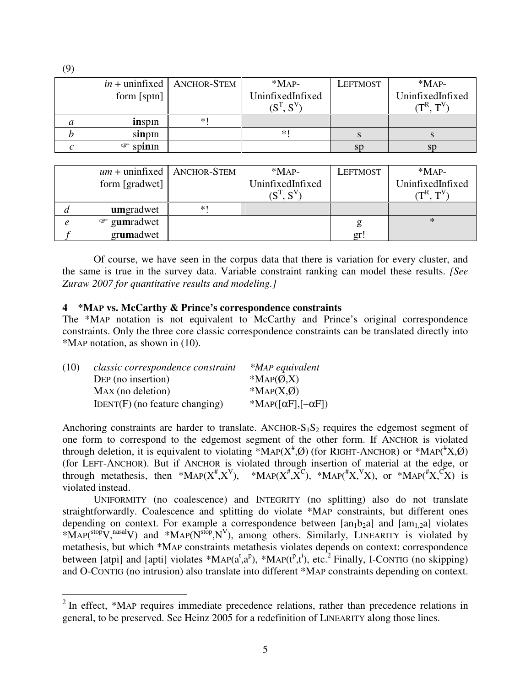|                         | $in +$ uninfixed   ANCHOR-STEM | $*MAP-$             | LEFTMOST | $*MAP-$                 |
|-------------------------|--------------------------------|---------------------|----------|-------------------------|
| form $[spn]$            |                                | UninfixedInfixed    |          | UninfixedInfixed        |
|                         |                                | $\tau_{\mathbf{C}}$ |          | $\sqrt{mR}$ $\sqrt{mV}$ |
| inspin                  | $*1$                           |                     |          |                         |
| sinpin                  |                                | ∗                   |          |                         |
| spin <sub>In</sub><br>☞ |                                |                     | sp       | sp                      |

|                | $um + uninfixed$   ANCHOR-STEM | $*MAP-$                                              | <b>LEFTMOST</b> | $*$ MAP-                                                   |
|----------------|--------------------------------|------------------------------------------------------|-----------------|------------------------------------------------------------|
| form [gradwet] |                                | UninfixedInfixed                                     |                 | UninfixedInfixed                                           |
|                |                                | $(\mathbf{S}^{\mathrm{T}}\ \mathbf{S}^{\mathrm{V}})$ |                 | $\sqrt{\mathbf{T}}^{\mathbf{R}}$ $\mathbf{T}^{\mathbf{V}}$ |
| umgradwet      | $*1$                           |                                                      |                 |                                                            |
| gumradwet<br>☞ |                                |                                                      |                 |                                                            |
| grumadwet      |                                |                                                      | gr!             |                                                            |

 Of course, we have seen in the corpus data that there is variation for every cluster, and the same is true in the survey data. Variable constraint ranking can model these results. *[See Zuraw 2007 for quantitative results and modeling.]* 

### **4 \*MAP vs. McCarthy & Prince's correspondence constraints**

The \*MAP notation is not equivalent to McCarthy and Prince's original correspondence constraints. Only the three core classic correspondence constraints can be translated directly into \*MAP notation, as shown in (10).

| (10) | classic correspondence constraint | *MAP equivalent                                           |
|------|-----------------------------------|-----------------------------------------------------------|
|      | DEP (no insertion)                | *MAP $(\emptyset, X)$                                     |
|      | MAX (no deletion)                 | *MAP $(X,\emptyset)$                                      |
|      | $IDENT(F)$ (no feature changing)  | *MAP( $\lceil \alpha F \rceil, \lceil -\alpha F \rceil$ ) |

Anchoring constraints are harder to translate. ANCHOR- $S_1S_2$  requires the edgemost segment of one form to correspond to the edgemost segment of the other form. If ANCHOR is violated through deletion, it is equivalent to violating \*MAP( $X^{\#}$ , $\emptyset$ ) (for RIGHT-ANCHOR) or \*MAP( $^{\#}X$ , $\emptyset$ ) (for LEFT-ANCHOR). But if ANCHOR is violated through insertion of material at the edge, or through metathesis, then \*MAP( $X^{\#}, X^{\vee}$ ), \*MAP( $X^{\#}, X^{\vee}$ ), \*MAP( $X^{\#}, X^{\vee}$ ), or \*MAP( $X^{\#}, X^{\vee}$ ) is violated instead.

 UNIFORMITY (no coalescence) and INTEGRITY (no splitting) also do not translate straightforwardly. Coalescence and splitting do violate \*MAP constraints, but different ones depending on context. For example a correspondence between  $[an_1b_2a]$  and  $[am_{1,2}a]$  violates \*MAP( ${}^{stop}V,{}^{nasal}V$ ) and \*MAP( $N^{stop},N^V$ ), among others. Similarly, LINEARITY is violated by metathesis, but which \*MAP constraints metathesis violates depends on context: correspondence between [atpi] and [apti] violates \*MAP( $a^{\dagger}, a^{\dagger}$ ), \*MAP( $t^{\dagger}, t^{\dagger}$ ), etc.<sup>2</sup> Finally, I-CONTIG (no skipping) and O-CONTIG (no intrusion) also translate into different \*MAP constraints depending on context.

(9)

 $\overline{a}$ 

 $2$  In effect, \*MAP requires immediate precedence relations, rather than precedence relations in general, to be preserved. See Heinz 2005 for a redefinition of LINEARITY along those lines.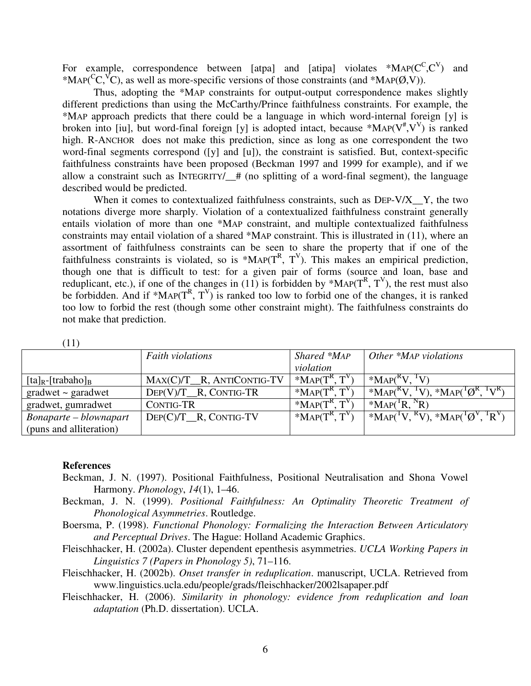For example, correspondence between [atpa] and [atipa] violates  $*MAP(C^C, C^V)$  and \*MAP( ${}^C\text{C}$ ,  ${}^V\text{C}$ ), as well as more-specific versions of those constraints (and \*MAP( $\varnothing$ ,V)).

 Thus, adopting the \*MAP constraints for output-output correspondence makes slightly different predictions than using the McCarthy/Prince faithfulness constraints. For example, the \*MAP approach predicts that there could be a language in which word-internal foreign [y] is broken into [iu], but word-final foreign [y] is adopted intact, because \*MAP( $V^{\#}$ , $V^V$ ) is ranked high. R-ANCHOR does not make this prediction, since as long as one correspondent the two word-final segments correspond ([y] and [u]), the constraint is satisfied. But, context-specific faithfulness constraints have been proposed (Beckman 1997 and 1999 for example), and if we allow a constraint such as INTEGRITY/\_\_# (no splitting of a word-final segment), the language described would be predicted.

When it comes to contextualized faithfulness constraints, such as DEP-V/X<sub>-Y</sub>, the two notations diverge more sharply. Violation of a contextualized faithfulness constraint generally entails violation of more than one \*MAP constraint, and multiple contextualized faithfulness constraints may entail violation of a shared \*MAP constraint. This is illustrated in (11), where an assortment of faithfulness constraints can be seen to share the property that if one of the faithfulness constraints is violated, so is \*MAP( $T<sup>R</sup>$ ,  $T<sup>V</sup>$ ). This makes an empirical prediction, though one that is difficult to test: for a given pair of forms (source and loan, base and reduplicant, etc.), if one of the changes in (11) is forbidden by \*MAP( $T<sup>R</sup>$ ,  $T<sup>V</sup>$ ), the rest must also be forbidden. And if \*MAP( $T^R$ ,  $T^V$ ) is ranked too low to forbid one of the changes, it is ranked too low to forbid the rest (though some other constraint might). The faithfulness constraints do not make that prediction.

| $+1$                                   |                           |                   |                                                                                                                      |
|----------------------------------------|---------------------------|-------------------|----------------------------------------------------------------------------------------------------------------------|
|                                        | <b>Faith violations</b>   | Shared *MAP       | Other *MAP violations                                                                                                |
|                                        |                           | violation         |                                                                                                                      |
| $[\text{ta}]_R$ - $[\text{trabaho}]_B$ | MAX(C)/T_R, ANTICONTIG-TV | $*MAP(T^R, T^V)$  | $*MAPKV, 'V$                                                                                                         |
| $gradwet$ $\sim$ garadwet              | $DEF(V)/T$ R, CONTIG-TR   | $*MAP(T^R, T^V)$  | *MAP( <sup>R</sup> V, <sup>T</sup> V), *MAP( <sup>T</sup> $\varnothing$ <sup>R</sup> , <sup>T</sup> V <sup>R</sup> ) |
| gradwet, gumradwet                     | <b>CONTIG-TR</b>          | *MAP $(T^R, T^V)$ | $*MAPTR, {}^{N}R)$                                                                                                   |
| Bonaparte – blownapart                 | DEP(C)/T_R, CONTIG-TV     | *MAP $(T^R, T^V)$ | *MAP( $\mathrm{TV}$ , $\mathrm{RV}$ ), *MAP( $\mathrm{TOV}$ , $\mathrm{TRV}$ )                                       |
| (puns and alliteration)                |                           |                   |                                                                                                                      |

 $(11)$ 

#### **References**

- Beckman, J. N. (1997). Positional Faithfulness, Positional Neutralisation and Shona Vowel Harmony. *Phonology*, *14*(1), 1–46.
- Beckman, J. N. (1999). *Positional Faithfulness: An Optimality Theoretic Treatment of Phonological Asymmetries*. Routledge.
- Boersma, P. (1998). *Functional Phonology: Formalizing the Interaction Between Articulatory and Perceptual Drives*. The Hague: Holland Academic Graphics.
- Fleischhacker, H. (2002a). Cluster dependent epenthesis asymmetries. *UCLA Working Papers in Linguistics 7 (Papers in Phonology 5)*, 71–116.
- Fleischhacker, H. (2002b). *Onset transfer in reduplication*. manuscript, UCLA. Retrieved from www.linguistics.ucla.edu/people/grads/fleischhacker/2002lsapaper.pdf
- Fleischhacker, H. (2006). *Similarity in phonology: evidence from reduplication and loan adaptation* (Ph.D. dissertation). UCLA.